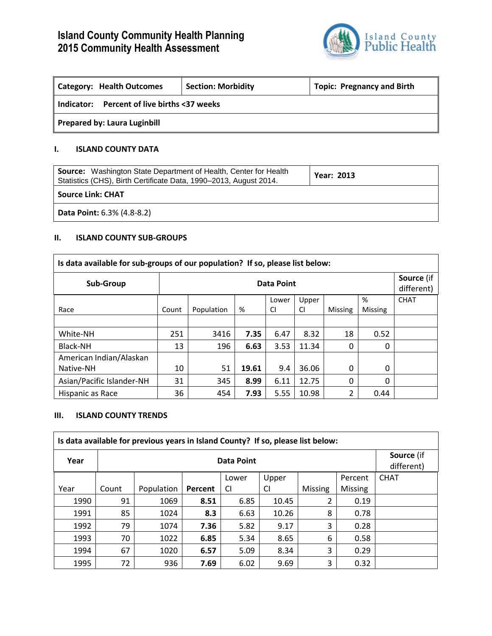

| <b>Category: Health Outcomes</b>               | <b>Section: Morbidity</b> | <b>Topic: Pregnancy and Birth</b> |
|------------------------------------------------|---------------------------|-----------------------------------|
| Percent of live births <37 weeks<br>Indicator: |                           |                                   |
| <b>Prepared by: Laura Luginbill</b>            |                           |                                   |

## **I. ISLAND COUNTY DATA**

| <b>Source:</b> Washington State Department of Health, Center for Health<br>Statistics (CHS), Birth Certificate Data, 1990–2013, August 2014. | <b>Year: 2013</b> |
|----------------------------------------------------------------------------------------------------------------------------------------------|-------------------|
| <b>Source Link: CHAT</b>                                                                                                                     |                   |
| <b>Data Point:</b> 6.3% (4.8-8.2)                                                                                                            |                   |

## **II. ISLAND COUNTY SUB-GROUPS**

| Is data available for sub-groups of our population? If so, please list below: |                   |            |       |           |           |                |                |                          |
|-------------------------------------------------------------------------------|-------------------|------------|-------|-----------|-----------|----------------|----------------|--------------------------|
| Sub-Group                                                                     | <b>Data Point</b> |            |       |           |           |                |                | Source (if<br>different) |
|                                                                               |                   |            |       | Lower     | Upper     |                | %              | <b>CHAT</b>              |
| Race                                                                          | Count             | Population | %     | <b>CI</b> | <b>CI</b> | <b>Missing</b> | <b>Missing</b> |                          |
|                                                                               |                   |            |       |           |           |                |                |                          |
| White-NH                                                                      | 251               | 3416       | 7.35  | 6.47      | 8.32      | 18             | 0.52           |                          |
| Black-NH                                                                      | 13                | 196        | 6.63  | 3.53      | 11.34     | 0              | 0              |                          |
| American Indian/Alaskan                                                       |                   |            |       |           |           |                |                |                          |
| Native-NH                                                                     | 10                | 51         | 19.61 | 9.4       | 36.06     | 0              | 0              |                          |
| Asian/Pacific Islander-NH                                                     | 31                | 345        | 8.99  | 6.11      | 12.75     | $\Omega$       | 0              |                          |
| Hispanic as Race                                                              | 36                | 454        | 7.93  | 5.55      | 10.98     | 2              | 0.44           |                          |

#### **III. ISLAND COUNTY TRENDS**

| Is data available for previous years in Island County? If so, please list below: |       |            |         |       |       |                |                |             |
|----------------------------------------------------------------------------------|-------|------------|---------|-------|-------|----------------|----------------|-------------|
| Year                                                                             |       | Data Point |         |       |       |                |                |             |
|                                                                                  |       |            |         | Lower | Upper |                | Percent        | <b>CHAT</b> |
| Year                                                                             | Count | Population | Percent | CI    | CI    | <b>Missing</b> | <b>Missing</b> |             |
| 1990                                                                             | 91    | 1069       | 8.51    | 6.85  | 10.45 | 2              | 0.19           |             |
| 1991                                                                             | 85    | 1024       | 8.3     | 6.63  | 10.26 | 8              | 0.78           |             |
| 1992                                                                             | 79    | 1074       | 7.36    | 5.82  | 9.17  | 3              | 0.28           |             |
| 1993                                                                             | 70    | 1022       | 6.85    | 5.34  | 8.65  | 6              | 0.58           |             |
| 1994                                                                             | 67    | 1020       | 6.57    | 5.09  | 8.34  | 3              | 0.29           |             |
| 1995                                                                             | 72    | 936        | 7.69    | 6.02  | 9.69  | 3              | 0.32           |             |